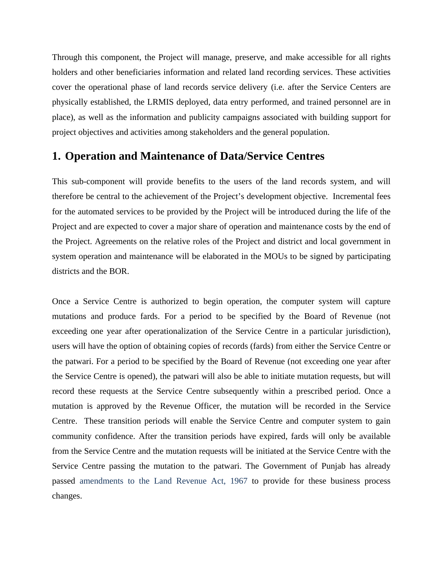Through this component, the Project will manage, preserve, and make accessible for all rights holders and other beneficiaries information and related land recording services. These activities cover the operational phase of land records service delivery (i.e. after the Service Centers are physically established, the LRMIS deployed, data entry performed, and trained personnel are in place), as well as the information and publicity campaigns associated with building support for project objectives and activities among stakeholders and the general population.

## **1. Operation and Maintenance of Data/Service Centres**

This sub-component will provide benefits to the users of the land records system, and will therefore be central to the achievement of the Project's development objective. Incremental fees for the automated services to be provided by the Project will be introduced during the life of the Project and are expected to cover a major share of operation and maintenance costs by the end of the Project. Agreements on the relative roles of the Project and district and local government in system operation and maintenance will be elaborated in the MOUs to be signed by participating districts and the BOR.

Once a Service Centre is authorized to begin operation, the computer system will capture mutations and produce fards. For a period to be specified by the Board of Revenue (not exceeding one year after operationalization of the Service Centre in a particular jurisdiction), users will have the option of obtaining copies of records (fards) from either the Service Centre or the patwari. For a period to be specified by the Board of Revenue (not exceeding one year after the Service Centre is opened), the patwari will also be able to initiate mutation requests, but will record these requests at the Service Centre subsequently within a prescribed period. Once a mutation is approved by the Revenue Officer, the mutation will be recorded in the Service Centre. These transition periods will enable the Service Centre and computer system to gain community confidence. After the transition periods have expired, fards will only be available from the Service Centre and the mutation requests will be initiated at the Service Centre with the Service Centre passing the mutation to the patwari. The Government of Punjab has already passed amendments to the Land Revenue Act, 1967 to provide for these business process changes.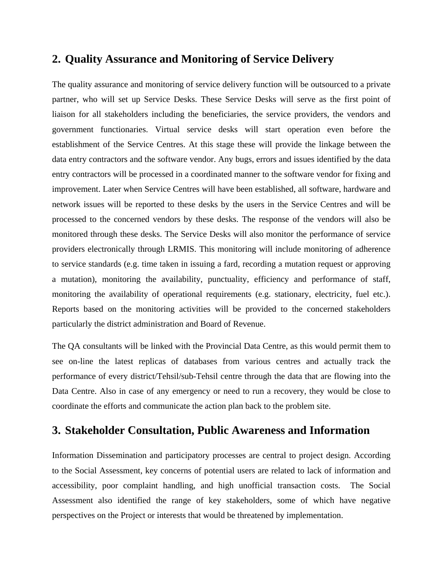## **2. Quality Assurance and Monitoring of Service Delivery**

The quality assurance and monitoring of service delivery function will be outsourced to a private partner, who will set up Service Desks. These Service Desks will serve as the first point of liaison for all stakeholders including the beneficiaries, the service providers, the vendors and government functionaries. Virtual service desks will start operation even before the establishment of the Service Centres. At this stage these will provide the linkage between the data entry contractors and the software vendor. Any bugs, errors and issues identified by the data entry contractors will be processed in a coordinated manner to the software vendor for fixing and improvement. Later when Service Centres will have been established, all software, hardware and network issues will be reported to these desks by the users in the Service Centres and will be processed to the concerned vendors by these desks. The response of the vendors will also be monitored through these desks. The Service Desks will also monitor the performance of service providers electronically through LRMIS. This monitoring will include monitoring of adherence to service standards (e.g. time taken in issuing a fard, recording a mutation request or approving a mutation), monitoring the availability, punctuality, efficiency and performance of staff, monitoring the availability of operational requirements (e.g. stationary, electricity, fuel etc.). Reports based on the monitoring activities will be provided to the concerned stakeholders particularly the district administration and Board of Revenue.

The QA consultants will be linked with the Provincial Data Centre, as this would permit them to see on-line the latest replicas of databases from various centres and actually track the performance of every district/Tehsil/sub-Tehsil centre through the data that are flowing into the Data Centre. Also in case of any emergency or need to run a recovery, they would be close to coordinate the efforts and communicate the action plan back to the problem site.

## **3. Stakeholder Consultation, Public Awareness and Information**

Information Dissemination and participatory processes are central to project design. According to the Social Assessment, key concerns of potential users are related to lack of information and accessibility, poor complaint handling, and high unofficial transaction costs. The Social Assessment also identified the range of key stakeholders, some of which have negative perspectives on the Project or interests that would be threatened by implementation.